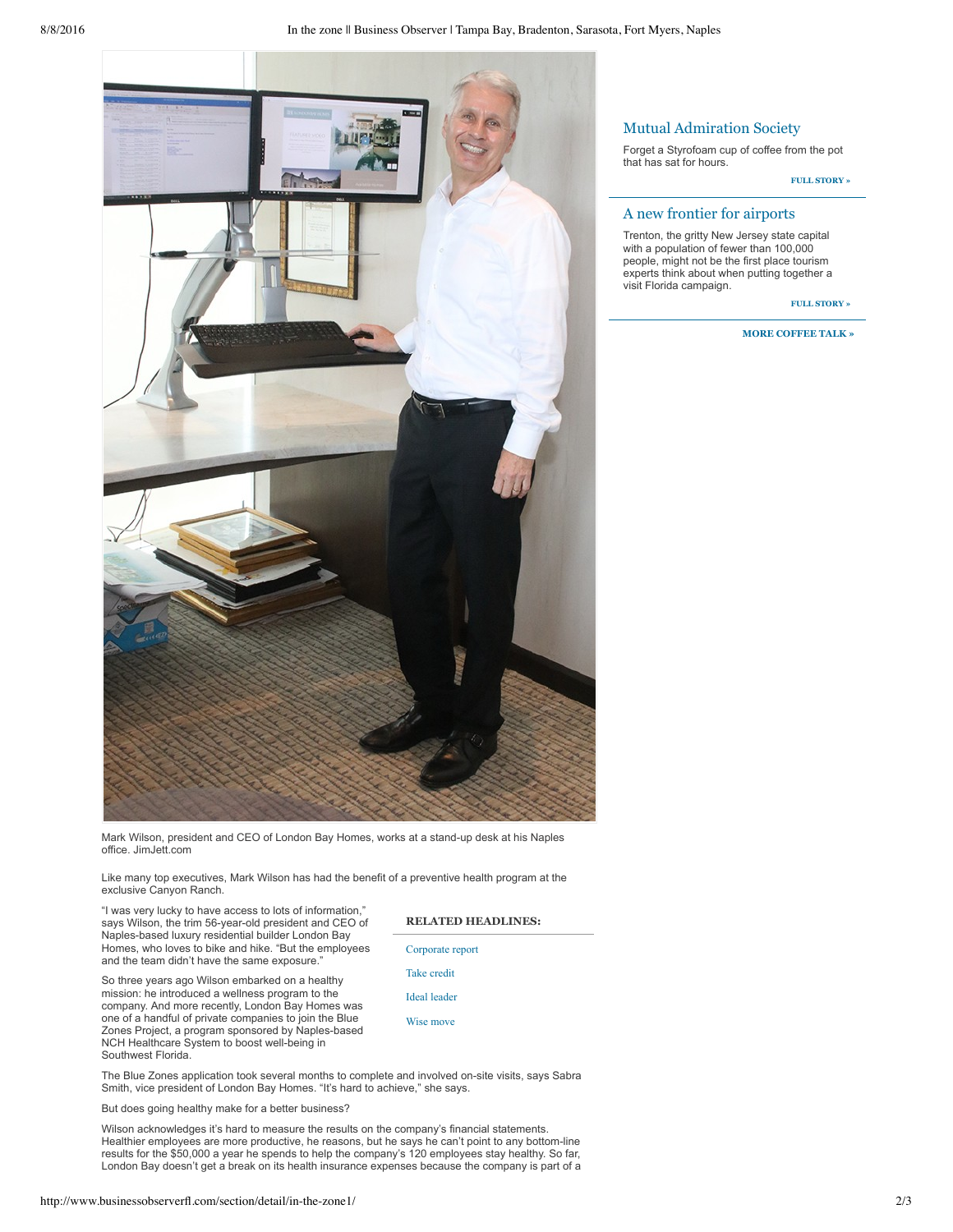

Mark Wilson, president and CEO of London Bay Homes, works at a stand-up desk at his Naples office. JimJett.com

Like many top executives, Mark Wilson has had the benefit of a preventive health program at the exclusive Canyon Ranch.

"I was very lucky to have access to lots of information," says Wilson, the trim 56-year-old president and CEO of Naples-based luxury residential builder London Bay Homes, who loves to bike and hike. "But the employees and the team didn't have the same exposure.

So three years ago Wilson embarked on a healthy mission: he introduced a wellness program to the company. And more recently, London Bay Homes was one of a handful of private companies to join the Blue Zones Project, a program sponsored by Naples-based NCH Healthcare System to boost well-being in Southwest Florida.

**RELATED HEADLINES:**

Corporate report

Take credit

Ideal leader

Wise move

The Blue Zones application took several months to complete and involved on-site visits, says Sabra Smith, vice president of London Bay Homes. "It's hard to achieve," she says.

But does going healthy make for a better business?

Wilson acknowledges it's hard to measure the results on the company's financial statements. Healthier employees are more productive, he reasons, but he says he can't point to any bottom-line results for the \$50,000 a year he spends to help the company's 120 employees stay healthy. So far, London Bay doesn't get a break on its health insurance expenses because the company is part of a

# Mutual Admiration Society

Forget a Styrofoam cup of coffee from the pot that has sat for hours.

**FULL STORY »**

### A new frontier for airports

Trenton, the gritty New Jersey state capital with a population of fewer than 100,000 people, might not be the first place tourism experts think about when putting together a visit Florida campaign.

**FULL STORY »**

#### **MORE COFFEE TALK »**